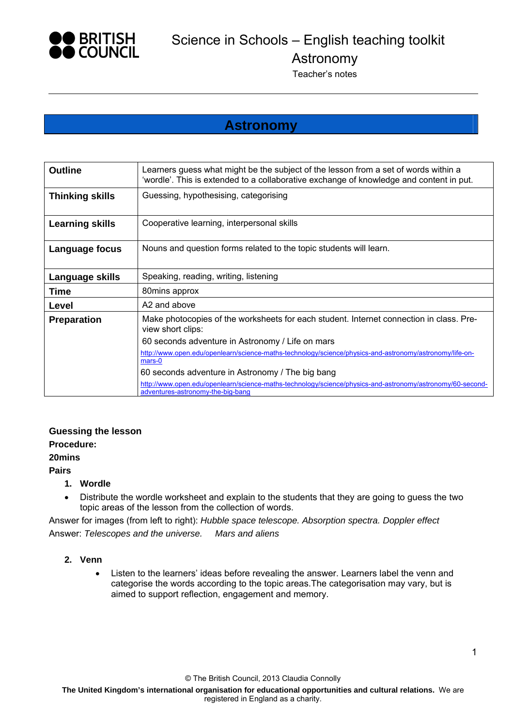

Astronomy

Teacher's notes

## **Astronomy**

| <b>Outline</b>         | Learners guess what might be the subject of the lesson from a set of words within a<br>'wordle'. This is extended to a collaborative exchange of knowledge and content in put. |  |  |  |  |
|------------------------|--------------------------------------------------------------------------------------------------------------------------------------------------------------------------------|--|--|--|--|
| <b>Thinking skills</b> | Guessing, hypothesising, categorising                                                                                                                                          |  |  |  |  |
| <b>Learning skills</b> | Cooperative learning, interpersonal skills                                                                                                                                     |  |  |  |  |
| Language focus         | Nouns and question forms related to the topic students will learn.                                                                                                             |  |  |  |  |
| Language skills        | Speaking, reading, writing, listening                                                                                                                                          |  |  |  |  |
| Time                   | 80mins approx                                                                                                                                                                  |  |  |  |  |
| Level                  | A2 and above                                                                                                                                                                   |  |  |  |  |
| <b>Preparation</b>     | Make photocopies of the worksheets for each student. Internet connection in class. Pre-<br>view short clips:                                                                   |  |  |  |  |
|                        | 60 seconds adventure in Astronomy / Life on mars                                                                                                                               |  |  |  |  |
|                        | http://www.open.edu/openlearn/science-maths-technology/science/physics-and-astronomy/astronomy/life-on-<br>mars-0                                                              |  |  |  |  |
|                        | 60 seconds adventure in Astronomy / The big bang                                                                                                                               |  |  |  |  |
|                        | http://www.open.edu/openlearn/science-maths-technology/science/physics-and-astronomy/astronomy/60-second-<br>adventures-astronomy-the-big-bang                                 |  |  |  |  |

#### **Guessing the lesson**

#### **Procedure:**

#### **20mins**

#### **Pairs**

#### **1. Wordle**

 Distribute the wordle worksheet and explain to the students that they are going to guess the two topic areas of the lesson from the collection of words.

Answer for images (from left to right): *Hubble space telescope. Absorption spectra. Doppler effect* Answer: *Telescopes and the universe. Mars and aliens* 

#### **2. Venn**

 Listen to the learners' ideas before revealing the answer. Learners label the venn and categorise the words according to the topic areas.The categorisation may vary, but is aimed to support reflection, engagement and memory.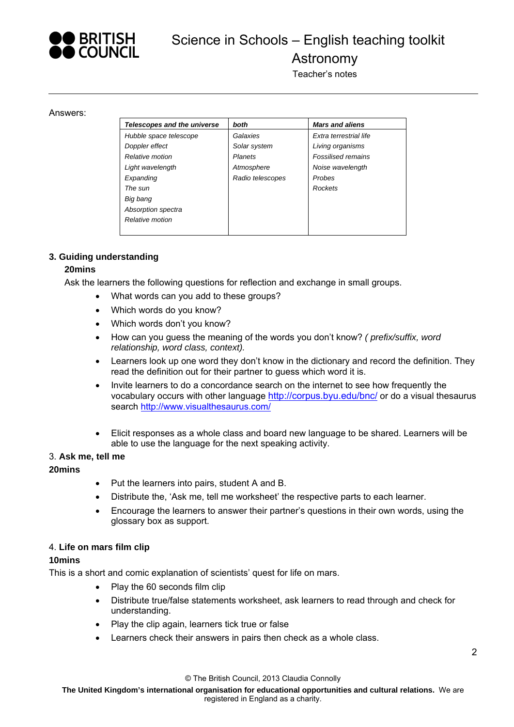

# Science in Schools – English teaching toolkit Astronomy

Teacher's notes

#### Answers:

| Telescopes and the universe | both             | <b>Mars and aliens</b>    |  |
|-----------------------------|------------------|---------------------------|--|
| Hubble space telescope      | Galaxies         | Extra terrestrial life    |  |
| Doppler effect              | Solar system     | Living organisms          |  |
| Relative motion             | <b>Planets</b>   | <b>Fossilised remains</b> |  |
| Light wavelength            | Atmosphere       | Noise wavelength          |  |
| Expanding                   | Radio telescopes | Probes                    |  |
| The sun                     |                  | Rockets                   |  |
| Big bang                    |                  |                           |  |
| Absorption spectra          |                  |                           |  |
| Relative motion             |                  |                           |  |
|                             |                  |                           |  |

#### **3. Guiding understanding**

#### **20mins**

Ask the learners the following questions for reflection and exchange in small groups.

- What words can you add to these groups?
- Which words do you know?
- Which words don't you know?
- How can you guess the meaning of the words you don't know? *( prefix/suffix, word relationship, word class, context).*
- Learners look up one word they don't know in the dictionary and record the definition. They read the definition out for their partner to guess which word it is.
- Invite learners to do a concordance search on the internet to see how frequently the vocabulary occurs with other language http://corpus.byu.edu/bnc/ or do a visual thesaurus search http://www.visualthesaurus.com/
- Elicit responses as a whole class and board new language to be shared. Learners will be able to use the language for the next speaking activity.

#### 3. **Ask me, tell me**

#### **20mins**

- Put the learners into pairs, student A and B.
- Distribute the, 'Ask me, tell me worksheet' the respective parts to each learner.
- Encourage the learners to answer their partner's questions in their own words, using the glossary box as support.

#### 4. **Life on mars film clip**

#### **10mins**

This is a short and comic explanation of scientists' quest for life on mars.

- Play the 60 seconds film clip
- Distribute true/false statements worksheet, ask learners to read through and check for understanding.
- Play the clip again, learners tick true or false
- Learners check their answers in pairs then check as a whole class.